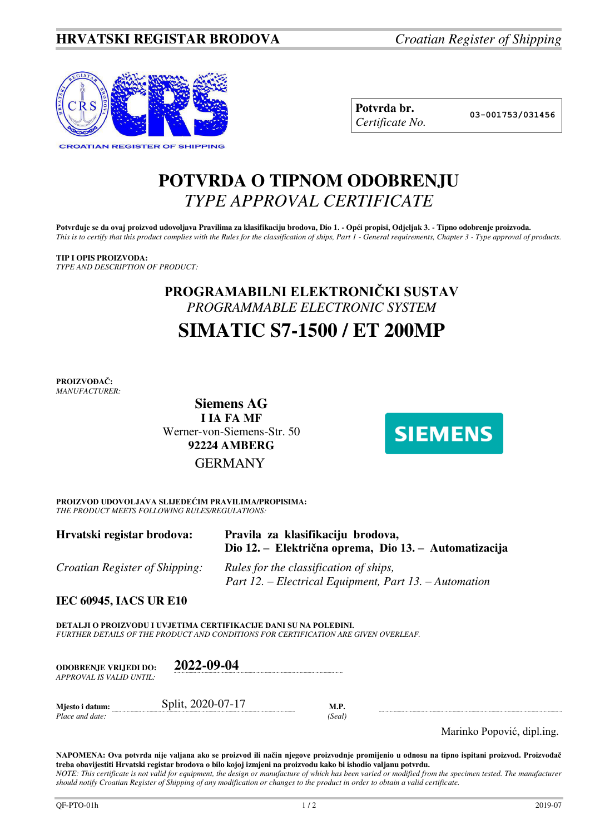

| Potvrda br.     |
|-----------------|
| Certificate No. |

**Potvrda br. 03-001753/031456**

# **POTVRDA O TIPNOM ODOBRENJU**  *TYPE APPROVAL CERTIFICATE*

Potvrđuje se da ovaj proizvod udovoljava Pravilima za klasifikaciju brodova, Dio 1. - Opći propisi, Odjeljak 3. - Tipno odobrenje proizvoda. *This is to certify that this product complies with the Rules for the classification of ships, Part 1 - General requirements, Chapter 3 - Type approval of products.* 

### **TIP I OPIS PROIZVODA:**

*TYPE AND DESCRIPTION OF PRODUCT:* 

## **PROGRAMABILNI ELEKTRONIČKI SUSTAV** *PROGRAMMABLE ELECTRONIC SYSTEM*  **SIMATIC S7-1500 / ET 200MP**

**PROIZVOĐAČ:** *MANUFACTURER:*

> **Siemens AG I IA FA MF**  Werner-von-Siemens-Str. 50 **92224 AMBERG** GERMANY



**PROIZVOD UDOVOLJAVA SLIJEDEĆIM PRAVILIMA/PROPISIMA:** *THE PRODUCT MEETS FOLLOWING RULES/REGULATIONS:* 

| Hrvatski registar brodova:            | Pravila za klasifikaciju brodova,<br>Dio 12. – Električna oprema, Dio 13. – Automatizacija       |
|---------------------------------------|--------------------------------------------------------------------------------------------------|
| <i>Croatian Register of Shipping:</i> | Rules for the classification of ships,<br>Part 12. – Electrical Equipment, Part 13. – Automation |

### **IEC 60945, IACS UR E10**

**DETALJI O PROIZVODU I UVJETIMA CERTIFIKACIJE DANI SU NA POLEĐINI.** *FURTHER DETAILS OF THE PRODUCT AND CONDITIONS FOR CERTIFICATION ARE GIVEN OVERLEAF.* 

| <b>ODOBRENJE VRLJEDI DO:</b><br>APPROVAL IS VALID UNTIL: | 2022-09-04        |                       |  |
|----------------------------------------------------------|-------------------|-----------------------|--|
| Mjesto i datum:<br>Place and date:                       | Split, 2020-07-17 | <b>M.P.</b><br>(Seal) |  |

Marinko Popović, dipl.ing.

**NAPOMENA: Ova potvrda nije valjana ako se proizvod ili način njegove proizvodnje promijenio u odnosu na tipno ispitani proizvod. Proizvođač treba obavijestiti Hrvatski registar brodova o bilo kojoj izmjeni na proizvodu kako bi ishodio valjanu potvrdu.**  *NOTE: This certificate is not valid for equipment, the design or manufacture of which has been varied or modified from the specimen tested. The manufacturer should notify Croatian Register of Shipping of any modification or changes to the product in order to obtain a valid certificate.*